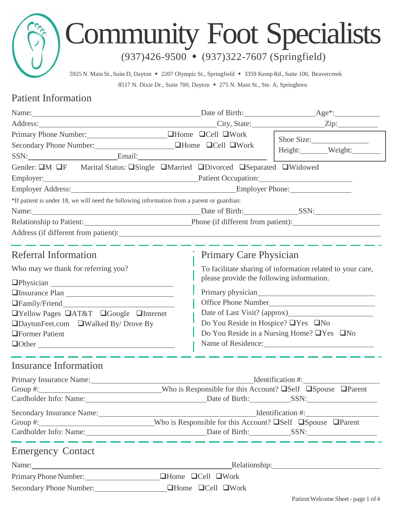# Community Foot Specialists

(937)426-9500 (937)322-7607 (Springfield)

5925 N. Main St.,SuiteD, Dayton 2207 Olympic St., Springfield 3359 Kemp Rd., Suite 100, Beavercreek 8517 N. Dixie Dr., Suite 700, Dayton  $\bullet$  275 N. Main St., Ste. A, Springboro

## Patient Information

| Name: Age <sup>*</sup> :                                                                                                                                                                                                            |                                           |                                                            |  |  |
|-------------------------------------------------------------------------------------------------------------------------------------------------------------------------------------------------------------------------------------|-------------------------------------------|------------------------------------------------------------|--|--|
|                                                                                                                                                                                                                                     |                                           |                                                            |  |  |
| Primary Phone Number:<br><u>IMOME</u> DHome DCell DWork                                                                                                                                                                             |                                           | Shoe Size:                                                 |  |  |
|                                                                                                                                                                                                                                     |                                           | Height: Weight:                                            |  |  |
| SSN: Email: Email:                                                                                                                                                                                                                  |                                           |                                                            |  |  |
| Gender: UM UF Marital Status: USingle UMarried UDivorced USeparated UWidowed                                                                                                                                                        |                                           |                                                            |  |  |
| Employer: Patient Occupation: Patient Occupation:                                                                                                                                                                                   |                                           |                                                            |  |  |
| Employer Address: Employer Phone: Employer Phone:                                                                                                                                                                                   |                                           |                                                            |  |  |
| *If patient is under 18, we will need the following information from a parent or guardian:                                                                                                                                          |                                           |                                                            |  |  |
| Name: SSN: SSN:                                                                                                                                                                                                                     |                                           |                                                            |  |  |
| Relationship to Patient: Phone (if different from patient):                                                                                                                                                                         |                                           |                                                            |  |  |
|                                                                                                                                                                                                                                     |                                           |                                                            |  |  |
|                                                                                                                                                                                                                                     |                                           |                                                            |  |  |
| Referral Information                                                                                                                                                                                                                |                                           | Primary Care Physician                                     |  |  |
| Who may we thank for referring you?                                                                                                                                                                                                 |                                           | To facilitate sharing of information related to your care, |  |  |
|                                                                                                                                                                                                                                     | please provide the following information. |                                                            |  |  |
| <b>One of the Contract Plan</b>                                                                                                                                                                                                     |                                           |                                                            |  |  |
|                                                                                                                                                                                                                                     |                                           | Office Phone Number                                        |  |  |
| □Yellow Pages □AT&T □Google □Internet                                                                                                                                                                                               |                                           | Date of Last Visit? (approx)                               |  |  |
| □DaytonFeet.com □Walked By/ Drove By                                                                                                                                                                                                |                                           | Do You Reside in Hospice? □Yes □No                         |  |  |
| <b>OFormer Patient</b>                                                                                                                                                                                                              |                                           | Do You Reside in a Nursing Home? □Yes □No                  |  |  |
| $\Box$ Other $\Box$                                                                                                                                                                                                                 |                                           | Name of Residence:                                         |  |  |
| <b>Insurance Information</b>                                                                                                                                                                                                        |                                           |                                                            |  |  |
| Primary Insurance Name:                                                                                                                                                                                                             |                                           | Identification #:                                          |  |  |
|                                                                                                                                                                                                                                     |                                           |                                                            |  |  |
| Cardholder Info: Name: <u>Cardholder Info: Name:</u> Cardholder Info: Name: Cardholder Info: Name: Cardholder Info: Name: Cardholder Info: Name: Cardholder Info: Name: Cardholder Info: Name: Cardholder Info: Name: Cardholder In |                                           |                                                            |  |  |
|                                                                                                                                                                                                                                     |                                           |                                                            |  |  |
|                                                                                                                                                                                                                                     |                                           |                                                            |  |  |
| Cardholder Info: Name: Date of Birth: SSN: SSN:                                                                                                                                                                                     |                                           |                                                            |  |  |
| <b>Emergency Contact</b>                                                                                                                                                                                                            |                                           |                                                            |  |  |
|                                                                                                                                                                                                                                     |                                           |                                                            |  |  |
| Name: Name:                                                                                                                                                                                                                         | Relationship: Nelationship:               |                                                            |  |  |
| Primary Phone Number:                                                                                                                                                                                                               | <b>QHome QCell QWork</b>                  |                                                            |  |  |
| Secondary Phone Number:                                                                                                                                                                                                             | <b>QHome QCell QWork</b>                  |                                                            |  |  |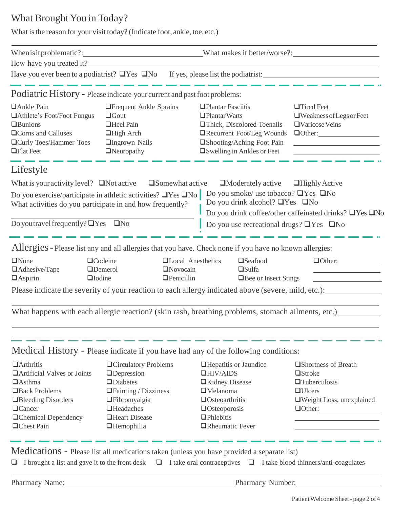## What Brought You in Today?

What is the reason for your visit today? (Indicate foot, ankle, toe, etc.)

| When is it problematic?: _________________________________What makes it better/worse?: _______________________                                                                   |                                                                                                                                                                                           |                                                                                                                                                                                                                                                 |                                                                                                                                                                                                                            |  |
|----------------------------------------------------------------------------------------------------------------------------------------------------------------------------------|-------------------------------------------------------------------------------------------------------------------------------------------------------------------------------------------|-------------------------------------------------------------------------------------------------------------------------------------------------------------------------------------------------------------------------------------------------|----------------------------------------------------------------------------------------------------------------------------------------------------------------------------------------------------------------------------|--|
| How have you treated it?                                                                                                                                                         |                                                                                                                                                                                           |                                                                                                                                                                                                                                                 |                                                                                                                                                                                                                            |  |
|                                                                                                                                                                                  |                                                                                                                                                                                           |                                                                                                                                                                                                                                                 |                                                                                                                                                                                                                            |  |
| Podiatric History - Please indicate your current and past foot problems:                                                                                                         |                                                                                                                                                                                           |                                                                                                                                                                                                                                                 |                                                                                                                                                                                                                            |  |
| □ Ankle Pain<br>□ Athlete's Foot/Foot Fungus<br><b>I</b> Bunions<br><b>QCorns</b> and Calluses<br><b>QCurly Toes/Hammer Toes</b><br>$\Box$ Flat Feet                             | <b>T</b> Frequent Ankle Sprains<br>$\Box$ Gout<br>□Heel Pain<br>$\Box$ High Arch<br>□Ingrown Nails<br>$\Box$ Neuropathy                                                                   | <b>Plantar Fasciitis</b><br>$\Box$ Plantar Warts<br><b>Thick, Discolored Toenails</b><br><b>TRecurrent Foot/Leg Wounds</b><br>□Shooting/Aching Foot Pain<br>□ Swelling in Ankles or Feet                                                        | $\Box$ Tired Feet<br>$\Box$ Weakness of Legs or Feet<br>$\Box$ Varicose Veins<br>$\Box$ Other: $\_\_\_\_\_\_\_\_\_\_$<br><u> 1989 - Johann Stoff, fransk politik (d. 1989)</u>                                             |  |
| Lifestyle                                                                                                                                                                        |                                                                                                                                                                                           |                                                                                                                                                                                                                                                 |                                                                                                                                                                                                                            |  |
| What is your activity level? $\Box$ Not active $\Box$ Somewhat active                                                                                                            |                                                                                                                                                                                           | $\Box$ Moderately active                                                                                                                                                                                                                        | $\Box$ Highly Active                                                                                                                                                                                                       |  |
| Do you exercise/participate in athletic activities? $\Box$ Yes $\Box$ No<br>What activities do you participate in and how frequently?                                            |                                                                                                                                                                                           |                                                                                                                                                                                                                                                 | Do you smoke/ use tobacco? $\Box$ Yes $\Box$ No<br>Do you drink alcohol? $\Box$ Yes $\Box$ No<br>Do you drink coffee/other caffeinated drinks? □Yes □No                                                                    |  |
| Do you travel frequently? $\Box$ Yes $\Box$ No                                                                                                                                   |                                                                                                                                                                                           |                                                                                                                                                                                                                                                 | Do you use recreational drugs? $\Box$ Yes $\Box$ No                                                                                                                                                                        |  |
|                                                                                                                                                                                  |                                                                                                                                                                                           | Allergies - Please list any and all allergies that you have. Check none if you have no known allergies:                                                                                                                                         |                                                                                                                                                                                                                            |  |
| $\Box$ None<br>□Adhesive/Tape<br>$\Box$ Aspirin<br>$\Box$ Iodine                                                                                                                 | $\Box$ Codeine<br><b>Novocain</b><br><b>ODemerol</b><br>$\Box$ Penicillin                                                                                                                 | <b>QLocal Anesthetics</b><br>$\Box$ Seafood<br>$\Box$ Sulfa<br>□ Bee or Insect Stings<br>Please indicate the severity of your reaction to each allergy indicated above (severe, mild, etc.):                                                    | $\Box$ Other: $\Box$                                                                                                                                                                                                       |  |
|                                                                                                                                                                                  |                                                                                                                                                                                           | What happens with each allergic reaction? (skin rash, breathing problems, stomach ailments, etc.) [167]                                                                                                                                         |                                                                                                                                                                                                                            |  |
|                                                                                                                                                                                  |                                                                                                                                                                                           | Medical History - Please indicate if you have had any of the following conditions:                                                                                                                                                              |                                                                                                                                                                                                                            |  |
| $\Box$ Arthritis<br><b>OArtificial Valves or Joints</b><br>$\Box$ Asthma<br>Back Problems<br>Bleeding Disorders<br><b>Q</b> Cancer<br><b>QChemical Dependency</b><br>□Chest Pain | <b>QCirculatory Problems</b><br><b>IDepression</b><br><b>IDiabetes</b><br>$\Box$ Fainting / Dizziness<br><b>T</b> Fibromyalgia<br>$\Box$ Headaches<br>Heart Disease<br><b>IHemophilia</b> | <b>Hepatitis or Jaundice</b><br>$\Box$ HIV/AIDS<br><b>Exidney Disease</b><br>$\Box$ Melanoma<br><b>Osteoarthritis</b><br><b>Osteoporosis</b><br><b></b> Phlebitis<br><b>TRheumatic Fever</b>                                                    | □Shortness of Breath<br><b>O</b> Stroke<br>$\Box$ Tuberculosis<br>$\Box$ Ulcers<br>Weight Loss, unexplained<br>$\Box$ Other: $\_\_\_\_\_\_\_\_\_\_\_\_\_\_$<br>the control of the control of the control of the control of |  |
| ⊔<br>Pharmacy Name:                                                                                                                                                              |                                                                                                                                                                                           | Medications - Please list all medications taken (unless you have provided a separate list)<br>I brought a list and gave it to the front desk $\Box$ I take oral contraceptives $\Box$ I take blood thinners/anti-coagulates<br>Pharmacy Number: |                                                                                                                                                                                                                            |  |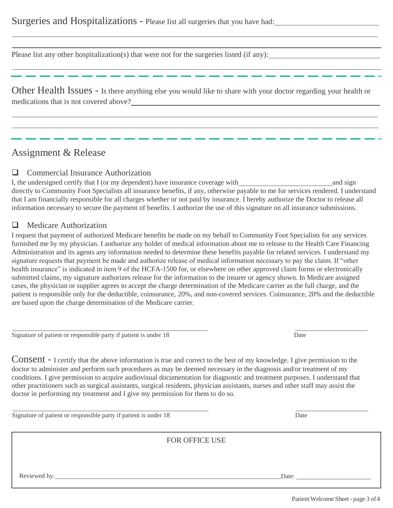Please list any other hospitalization(s) that were not for the surgeries listed (if any):

Other Health Issues - Is there anything else you would like to share with your doctor regarding your health or medications that is not covered above?

## Assignment & Release

#### **Q** Commercial Insurance Authorization

I, the undersigned certify that I (or my dependent) have insurance coverage with and sign and sign directly to Community Foot Specialists all insurance benefits, if any, otherwise payable to me for services rendered. I understand that I am financially responsible for all charges whether or not paid by insurance. I hereby authorize the Doctor to release all information necessary to secure the payment of benefits. I authorize the use of this signature on all insurance submissions.

### **Q** Medicare Authorization

I request that payment of authorized Medicare benefits be made on my behalf to Community Foot Specialists for any services furnished me by my physician. I authorize any holder of medical information about me to release to the Health Care Financing Administration and its agents any information needed to determine these benefits payable for related services. I understand my signature requests that payment be made and authorize release of medical information necessary to pay the claim. If "other health insurance" is indicated in item 9 of the HCFA-1500 for, or elsewhere on other approved claim forms or electronically submitted claims, my signature authorizes release for the information to the insurer or agency shown. In Medicare assigned cases, the physician or supplier agrees to accept the charge determination of the Medicare carrier as the full charge, and the patient is responsible only for the deductible, coinsurance, 20%, and non-covered services. Coinsurance, 20% and the deductible are based upon the charge determination of the Medicare carrier.

Signature of patient or responsible party if patient is under 18 Date

Consent - I certify that the above information is true and correct to the best of my knowledge. I give permission to the doctor to administer and perform such procedures as may be deemed necessary in the diagnosis and/or treatment of my conditions. I give permission to acquire audiovisual documentation for diagnostic and treatment purposes. I understand that other practitioners such as surgical assistants, surgical residents, physician assistants, nurses and other staff may assist the doctor in performing my treatment and I give my permission for them to do so.

Signature of patient or responsible party if patient is under 18 Date

|              | FOR OFFICE USE |       |
|--------------|----------------|-------|
|              |                |       |
| Reviewed by: |                | Date: |
|              |                |       |